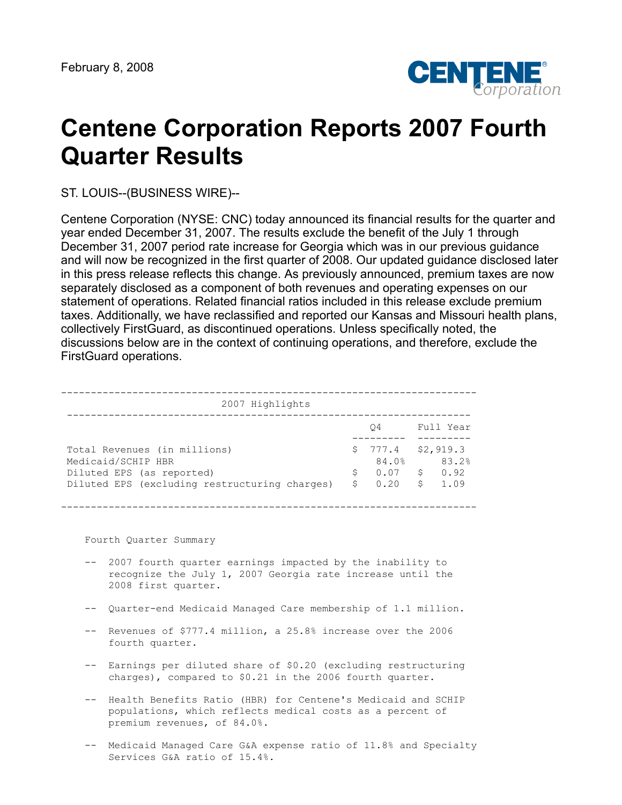

# **Centene Corporation Reports 2007 Fourth Quarter Results**

ST. LOUIS--(BUSINESS WIRE)--

Centene Corporation (NYSE: CNC) today announced its financial results for the quarter and year ended December 31, 2007. The results exclude the benefit of the July 1 through December 31, 2007 period rate increase for Georgia which was in our previous guidance and will now be recognized in the first quarter of 2008. Our updated guidance disclosed later in this press release reflects this change. As previously announced, premium taxes are now separately disclosed as a component of both revenues and operating expenses on our statement of operations. Related financial ratios included in this release exclude premium taxes. Additionally, we have reclassified and reported our Kansas and Missouri health plans, collectively FirstGuard, as discontinued operations. Unless specifically noted, the discussions below are in the context of continuing operations, and therefore, exclude the FirstGuard operations.

| 2007 Highlights |
|-----------------|
|                 |

|                                                                                     | O4                  | Full Year |
|-------------------------------------------------------------------------------------|---------------------|-----------|
|                                                                                     |                     |           |
| Total Revenues (in millions)                                                        | $$777.4$ $$2,919.3$ |           |
| Medicaid/SCHIP HBR                                                                  | 84.0%               | 83.2%     |
| Diluted EPS (as reported)                                                           | $$0.07$ \$ 0.92     |           |
| Diluted EPS (excluding restructuring charges) $\frac{1}{2}$ 0.20 $\frac{2}{3}$ 1.09 |                     |           |

----------------------------------------------------------------------

Fourth Quarter Summary

- -- 2007 fourth quarter earnings impacted by the inability to recognize the July 1, 2007 Georgia rate increase until the 2008 first quarter.
- -- Quarter-end Medicaid Managed Care membership of 1.1 million.
- -- Revenues of \$777.4 million, a 25.8% increase over the 2006 fourth quarter.
- -- Earnings per diluted share of \$0.20 (excluding restructuring charges), compared to \$0.21 in the 2006 fourth quarter.
- -- Health Benefits Ratio (HBR) for Centene's Medicaid and SCHIP populations, which reflects medical costs as a percent of premium revenues, of 84.0%.
- -- Medicaid Managed Care G&A expense ratio of 11.8% and Specialty Services G&A ratio of 15.4%.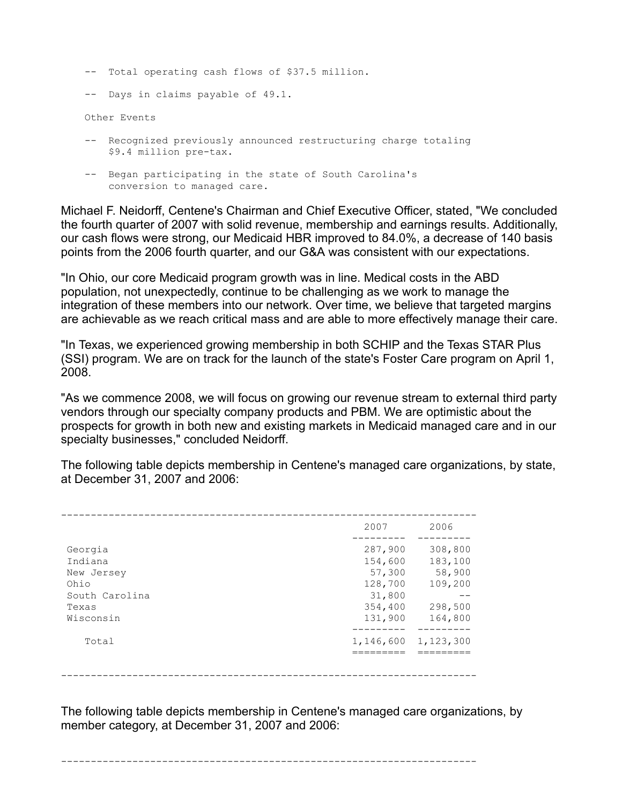- -- Total operating cash flows of \$37.5 million.
- -- Days in claims payable of 49.1.

Other Events

- -- Recognized previously announced restructuring charge totaling \$9.4 million pre-tax.
- -- Began participating in the state of South Carolina's conversion to managed care.

Michael F. Neidorff, Centene's Chairman and Chief Executive Officer, stated, "We concluded the fourth quarter of 2007 with solid revenue, membership and earnings results. Additionally, our cash flows were strong, our Medicaid HBR improved to 84.0%, a decrease of 140 basis points from the 2006 fourth quarter, and our G&A was consistent with our expectations.

"In Ohio, our core Medicaid program growth was in line. Medical costs in the ABD population, not unexpectedly, continue to be challenging as we work to manage the integration of these members into our network. Over time, we believe that targeted margins are achievable as we reach critical mass and are able to more effectively manage their care.

"In Texas, we experienced growing membership in both SCHIP and the Texas STAR Plus (SSI) program. We are on track for the launch of the state's Foster Care program on April 1, 2008.

"As we commence 2008, we will focus on growing our revenue stream to external third party vendors through our specialty company products and PBM. We are optimistic about the prospects for growth in both new and existing markets in Medicaid managed care and in our specialty businesses," concluded Neidorff.

The following table depicts membership in Centene's managed care organizations, by state, at December 31, 2007 and 2006:

|                                  | 2007                         | 2006                         |
|----------------------------------|------------------------------|------------------------------|
| Georgia<br>Indiana<br>New Jersey | 287,900<br>154,600<br>57,300 | 308,800<br>183,100<br>58,900 |
| Ohio<br>South Carolina           | 128,700<br>31,800            | 109,200                      |
| Texas<br>Wisconsin               | 354,400<br>131,900           | 298,500<br>164,800           |
| Total                            | 1,146,600                    | 1,123,300                    |
|                                  |                              |                              |

The following table depicts membership in Centene's managed care organizations, by member category, at December 31, 2007 and 2006:

----------------------------------------------------------------------

----------------------------------------------------------------------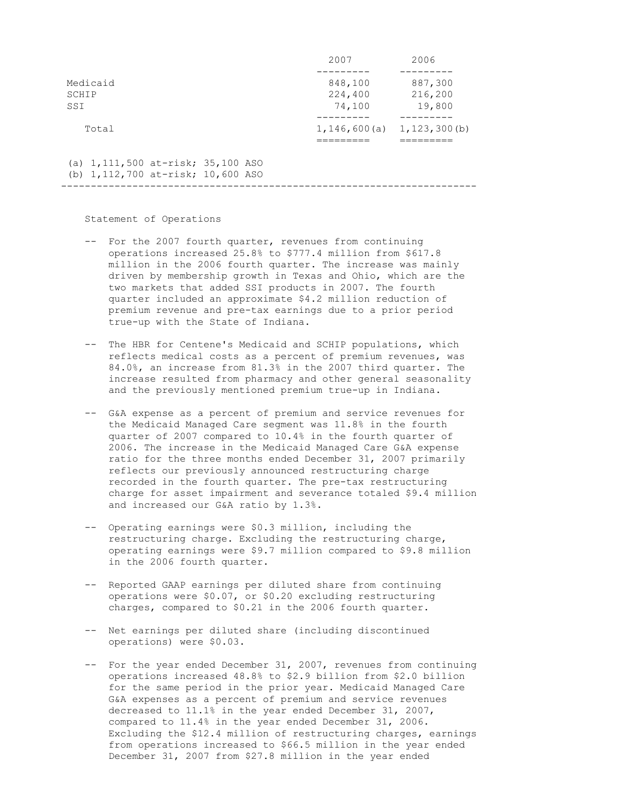|                                                                        | 2007               | 2006                                        |
|------------------------------------------------------------------------|--------------------|---------------------------------------------|
| Medicaid<br>SCHIP                                                      | 848,100<br>224,400 | 887,300<br>216,200                          |
| SSI<br>Total                                                           | 74,100             | 19,800<br>$1, 146, 600(a)$ $1, 123, 300(b)$ |
| (a) 1,111,500 at-risk; 35,100 ASO<br>(b) 1,112,700 at-risk; 10,600 ASO |                    |                                             |

Statement of Operations

 -- For the 2007 fourth quarter, revenues from continuing operations increased 25.8% to \$777.4 million from \$617.8 million in the 2006 fourth quarter. The increase was mainly driven by membership growth in Texas and Ohio, which are the two markets that added SSI products in 2007. The fourth quarter included an approximate \$4.2 million reduction of premium revenue and pre-tax earnings due to a prior period true-up with the State of Indiana.

----------------------------------------------------------------------

- -- The HBR for Centene's Medicaid and SCHIP populations, which reflects medical costs as a percent of premium revenues, was 84.0%, an increase from 81.3% in the 2007 third quarter. The increase resulted from pharmacy and other general seasonality and the previously mentioned premium true-up in Indiana.
- -- G&A expense as a percent of premium and service revenues for the Medicaid Managed Care segment was 11.8% in the fourth quarter of 2007 compared to 10.4% in the fourth quarter of 2006. The increase in the Medicaid Managed Care G&A expense ratio for the three months ended December 31, 2007 primarily reflects our previously announced restructuring charge recorded in the fourth quarter. The pre-tax restructuring charge for asset impairment and severance totaled \$9.4 million and increased our G&A ratio by 1.3%.
- -- Operating earnings were \$0.3 million, including the restructuring charge. Excluding the restructuring charge, operating earnings were \$9.7 million compared to \$9.8 million in the 2006 fourth quarter.
- -- Reported GAAP earnings per diluted share from continuing operations were \$0.07, or \$0.20 excluding restructuring charges, compared to \$0.21 in the 2006 fourth quarter.
- -- Net earnings per diluted share (including discontinued operations) were \$0.03.
- -- For the year ended December 31, 2007, revenues from continuing operations increased 48.8% to \$2.9 billion from \$2.0 billion for the same period in the prior year. Medicaid Managed Care G&A expenses as a percent of premium and service revenues decreased to 11.1% in the year ended December 31, 2007, compared to 11.4% in the year ended December 31, 2006. Excluding the \$12.4 million of restructuring charges, earnings from operations increased to \$66.5 million in the year ended December 31, 2007 from \$27.8 million in the year ended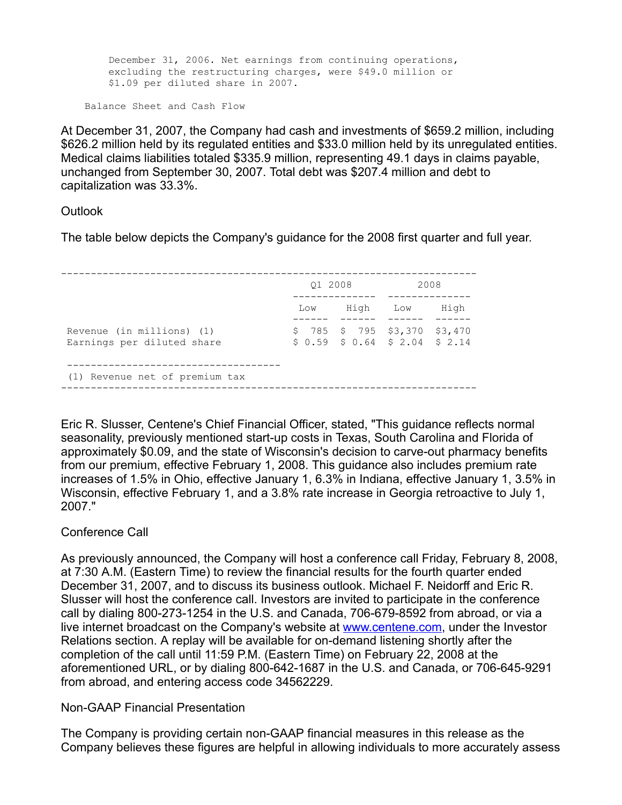December 31, 2006. Net earnings from continuing operations, excluding the restructuring charges, were \$49.0 million or \$1.09 per diluted share in 2007.

Balance Sheet and Cash Flow

At December 31, 2007, the Company had cash and investments of \$659.2 million, including \$626.2 million held by its regulated entities and \$33.0 million held by its unregulated entities. Medical claims liabilities totaled \$335.9 million, representing 49.1 days in claims payable, unchanged from September 30, 2007. Total debt was \$207.4 million and debt to capitalization was 33.3%.

## Outlook

The table below depicts the Company's guidance for the 2008 first quarter and full year.

|                                                         | 01 2008 |                                                                    | 2008 |      |  |
|---------------------------------------------------------|---------|--------------------------------------------------------------------|------|------|--|
|                                                         | Low     | High                                                               | Low  | High |  |
| Revenue (in millions) (1)<br>Earnings per diluted share |         | $$785$ $$795$ $$3,370$ $$3,470$<br>$$0.59$ $$0.64$ $$2.04$ $$2.14$ |      |      |  |
| (1) Revenue net of premium tax                          |         |                                                                    |      |      |  |

Eric R. Slusser, Centene's Chief Financial Officer, stated, "This guidance reflects normal seasonality, previously mentioned start-up costs in Texas, South Carolina and Florida of approximately \$0.09, and the state of Wisconsin's decision to carve-out pharmacy benefits from our premium, effective February 1, 2008. This guidance also includes premium rate increases of 1.5% in Ohio, effective January 1, 6.3% in Indiana, effective January 1, 3.5% in Wisconsin, effective February 1, and a 3.8% rate increase in Georgia retroactive to July 1, 2007."

# Conference Call

As previously announced, the Company will host a conference call Friday, February 8, 2008, at 7:30 A.M. (Eastern Time) to review the financial results for the fourth quarter ended December 31, 2007, and to discuss its business outlook. Michael F. Neidorff and Eric R. Slusser will host the conference call. Investors are invited to participate in the conference call by dialing 800-273-1254 in the U.S. and Canada, 706-679-8592 from abroad, or via a live internet broadcast on the Company's website at [www.centene.com](http://www.centene.com/), under the Investor Relations section. A replay will be available for on-demand listening shortly after the completion of the call until 11:59 P.M. (Eastern Time) on February 22, 2008 at the aforementioned URL, or by dialing 800-642-1687 in the U.S. and Canada, or 706-645-9291 from abroad, and entering access code 34562229.

## Non-GAAP Financial Presentation

The Company is providing certain non-GAAP financial measures in this release as the Company believes these figures are helpful in allowing individuals to more accurately assess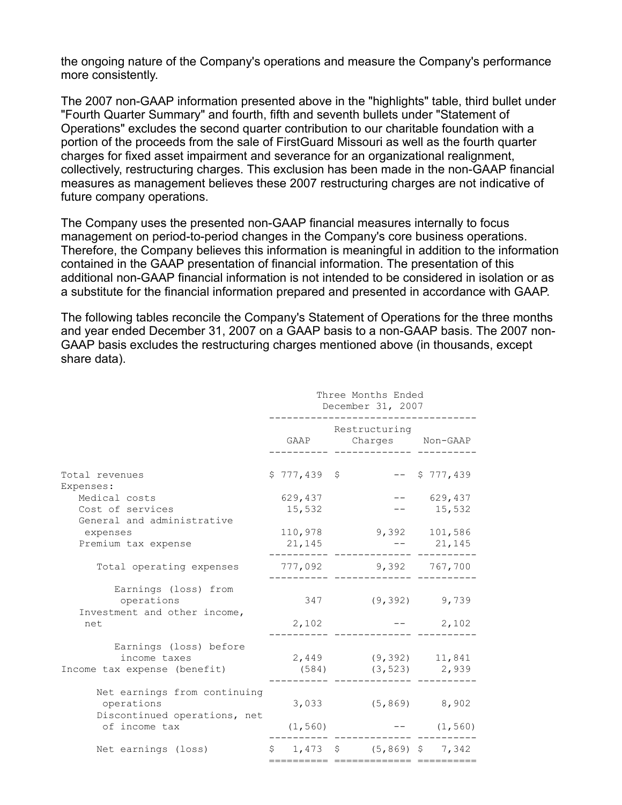the ongoing nature of the Company's operations and measure the Company's performance more consistently.

The 2007 non-GAAP information presented above in the "highlights" table, third bullet under "Fourth Quarter Summary" and fourth, fifth and seventh bullets under "Statement of Operations" excludes the second quarter contribution to our charitable foundation with a portion of the proceeds from the sale of FirstGuard Missouri as well as the fourth quarter charges for fixed asset impairment and severance for an organizational realignment, collectively, restructuring charges. This exclusion has been made in the non-GAAP financial measures as management believes these 2007 restructuring charges are not indicative of future company operations.

The Company uses the presented non-GAAP financial measures internally to focus management on period-to-period changes in the Company's core business operations. Therefore, the Company believes this information is meaningful in addition to the information contained in the GAAP presentation of financial information. The presentation of this additional non-GAAP financial information is not intended to be considered in isolation or as a substitute for the financial information prepared and presented in accordance with GAAP.

The following tables reconcile the Company's Statement of Operations for the three months and year ended December 31, 2007 on a GAAP basis to a non-GAAP basis. The 2007 non-GAAP basis excludes the restructuring charges mentioned above (in thousands, except share data).

|                                                                                             | Three Months Ended<br>December 31, 2007 |                   |  |                                          |                  |  |
|---------------------------------------------------------------------------------------------|-----------------------------------------|-------------------|--|------------------------------------------|------------------|--|
|                                                                                             |                                         | GAAP              |  | Restructuring<br>Charges Non-GAAP        |                  |  |
| Total revenues<br>Expenses:                                                                 |                                         | $$777,439$ \$     |  |                                          | $--$ \$ 777,439  |  |
| Medical costs                                                                               |                                         | 629,437           |  |                                          | 629,437          |  |
| Cost of services<br>General and administrative                                              |                                         | 15,532            |  |                                          | 15,532           |  |
| expenses                                                                                    |                                         | 110,978           |  |                                          | 9,392 101,586    |  |
| Premium tax expense                                                                         |                                         | 21,145            |  |                                          | $-- 21,145$      |  |
| Total operating expenses                                                                    |                                         | 777,092           |  | 9,392 767,700                            |                  |  |
| Earnings (loss) from<br>operations                                                          |                                         | 347               |  |                                          | $(9, 392)$ 9,739 |  |
| Investment and other income,<br>net                                                         |                                         | 2,102             |  |                                          | 2,102            |  |
| Earnings (loss) before<br>income taxes<br>Income tax expense (benefit)                      |                                         | (584)             |  | 2,449 (9,392) 11,841<br>$(3, 523)$ 2,939 |                  |  |
| Net earnings from continuing<br>operations<br>Discontinued operations, net<br>of income tax |                                         | 3,033<br>(1, 560) |  | $(5, 869)$ 8,902                         | $--$ (1,560)     |  |
|                                                                                             |                                         |                   |  |                                          |                  |  |
| Net earnings (loss)                                                                         |                                         |                   |  | $$1,473$ $$$ $(5,869)$ $$7,342$          |                  |  |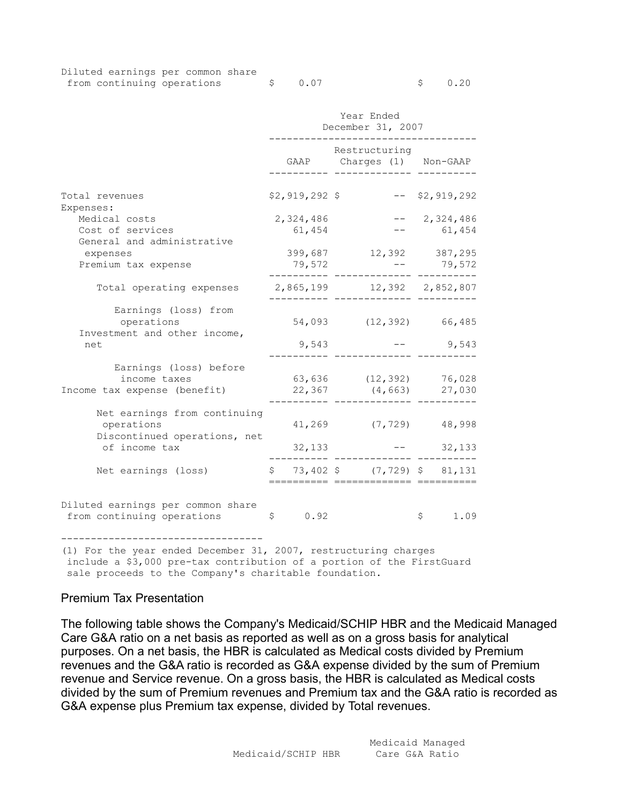| Diluted earnings per common share |  |         |  |        |  |
|-----------------------------------|--|---------|--|--------|--|
| from continuing operations        |  | \$ 0.07 |  | \$0.20 |  |

|                                                                            | Year Ended<br>December 31, 2007 |                                            |                               |  |  |  |
|----------------------------------------------------------------------------|---------------------------------|--------------------------------------------|-------------------------------|--|--|--|
|                                                                            |                                 | Restructuring<br>GAAP Charges (1) Non-GAAP |                               |  |  |  |
| Total revenues<br>Expenses:                                                | \$2,919,292 \$                  |                                            | $--$ \$2,919,292              |  |  |  |
| Medical costs<br>Cost of services<br>General and administrative            | 2,324,486<br>61,454             |                                            | 2,324,486<br>61,454           |  |  |  |
| expenses<br>Premium tax expense                                            | 399,687<br>79,572               |                                            | 12,392 387,295<br>$-- 79,572$ |  |  |  |
| Total operating expenses                                                   |                                 | 2,865,199 12,392 2,852,807                 |                               |  |  |  |
| Earnings (loss) from<br>operations<br>Investment and other income,         |                                 | 54,093 (12,392) 66,485                     |                               |  |  |  |
| net                                                                        | 9,543                           |                                            | 9,543                         |  |  |  |
| Earnings (loss) before<br>income taxes<br>Income tax expense (benefit)     | 22,367                          | 63,636 (12,392)<br>(4, 663)                | 76,028<br>27,030              |  |  |  |
| Net earnings from continuing<br>operations<br>Discontinued operations, net | 41,269                          | (7, 729)                                   | 48,998                        |  |  |  |
| of income tax                                                              | 32,133                          |                                            | 32,133                        |  |  |  |
| Net earnings (loss)                                                        | Ŝ.                              | 73,402 \$ (7,729) \$ 81,131                |                               |  |  |  |
| Diluted earnings per common share<br>from continuing operations            | \$<br>0.92                      |                                            | \$<br>1.09                    |  |  |  |

(1) For the year ended December 31, 2007, restructuring charges include a \$3,000 pre-tax contribution of a portion of the FirstGuard sale proceeds to the Company's charitable foundation.

### Premium Tax Presentation

The following table shows the Company's Medicaid/SCHIP HBR and the Medicaid Managed Care G&A ratio on a net basis as reported as well as on a gross basis for analytical purposes. On a net basis, the HBR is calculated as Medical costs divided by Premium revenues and the G&A ratio is recorded as G&A expense divided by the sum of Premium revenue and Service revenue. On a gross basis, the HBR is calculated as Medical costs divided by the sum of Premium revenues and Premium tax and the G&A ratio is recorded as G&A expense plus Premium tax expense, divided by Total revenues.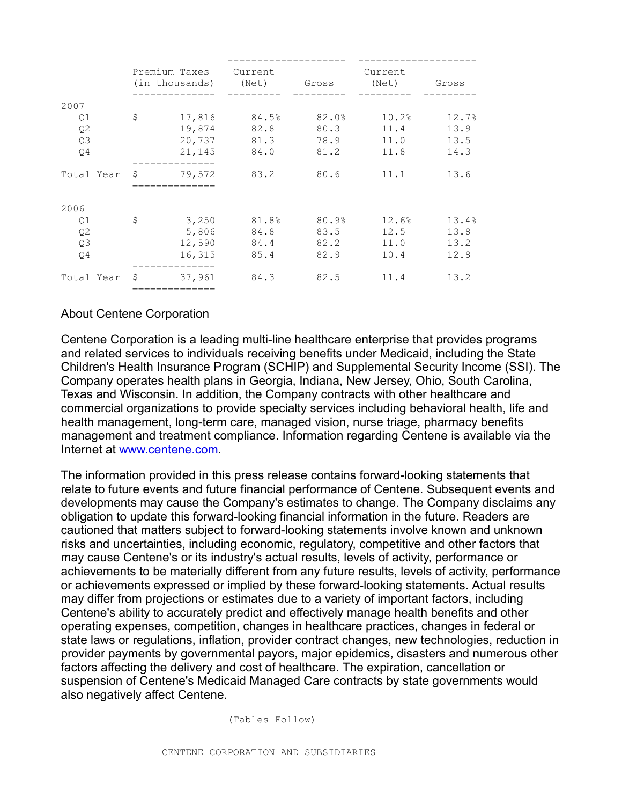|                |              |        | Premium Taxes Current       |       | Current<br>(in thousands) (Net) Gross (Net) Gross |       |
|----------------|--------------|--------|-----------------------------|-------|---------------------------------------------------|-------|
| 2007           |              |        |                             |       |                                                   |       |
| Q1             | \$           |        |                             |       | $17,816$ $84.5%$ $82.0%$ $10.2%$                  | 12.7% |
| Q <sub>2</sub> |              |        | 19,874 82.8                 | 80.3  | 11.4                                              | 13.9  |
| Q3             |              |        | 20,737 81.3                 | 78.9  | 11.0                                              | 13.5  |
| O4             |              |        | 21, 145 84.0                | 81.2  | 11.8                                              | 14.3  |
| Total Year \$  |              | 79,572 | 83.2                        | 80.6  | 11.1                                              | 13.6  |
|                |              |        |                             |       |                                                   |       |
| 2006           |              |        |                             |       |                                                   |       |
| Q1             | $\mathsf{S}$ |        | $3,250$ $81.8$ <sup>9</sup> | 80.9% | 12.6%                                             | 13.4% |
| Q <sub>2</sub> |              |        | 5,806 84.8 83.5             |       | 12.5                                              | 13.8  |
| Q3             |              |        | 12,590 84.4                 | 82.2  | 11.0                                              | 13.2  |
| Q4             |              |        | 16,315 85.4                 | 82.9  | 10.4                                              | 12.8  |
| Total Year     |              | 37,961 | 84.3                        | 82.5  | 11.4                                              | 13.2  |
|                |              |        |                             |       |                                                   |       |

# About Centene Corporation

Centene Corporation is a leading multi-line healthcare enterprise that provides programs and related services to individuals receiving benefits under Medicaid, including the State Children's Health Insurance Program (SCHIP) and Supplemental Security Income (SSI). The Company operates health plans in Georgia, Indiana, New Jersey, Ohio, South Carolina, Texas and Wisconsin. In addition, the Company contracts with other healthcare and commercial organizations to provide specialty services including behavioral health, life and health management, long-term care, managed vision, nurse triage, pharmacy benefits management and treatment compliance. Information regarding Centene is available via the Internet at [www.centene.com](http://www.centene.com/).

The information provided in this press release contains forward-looking statements that relate to future events and future financial performance of Centene. Subsequent events and developments may cause the Company's estimates to change. The Company disclaims any obligation to update this forward-looking financial information in the future. Readers are cautioned that matters subject to forward-looking statements involve known and unknown risks and uncertainties, including economic, regulatory, competitive and other factors that may cause Centene's or its industry's actual results, levels of activity, performance or achievements to be materially different from any future results, levels of activity, performance or achievements expressed or implied by these forward-looking statements. Actual results may differ from projections or estimates due to a variety of important factors, including Centene's ability to accurately predict and effectively manage health benefits and other operating expenses, competition, changes in healthcare practices, changes in federal or state laws or regulations, inflation, provider contract changes, new technologies, reduction in provider payments by governmental payors, major epidemics, disasters and numerous other factors affecting the delivery and cost of healthcare. The expiration, cancellation or suspension of Centene's Medicaid Managed Care contracts by state governments would also negatively affect Centene.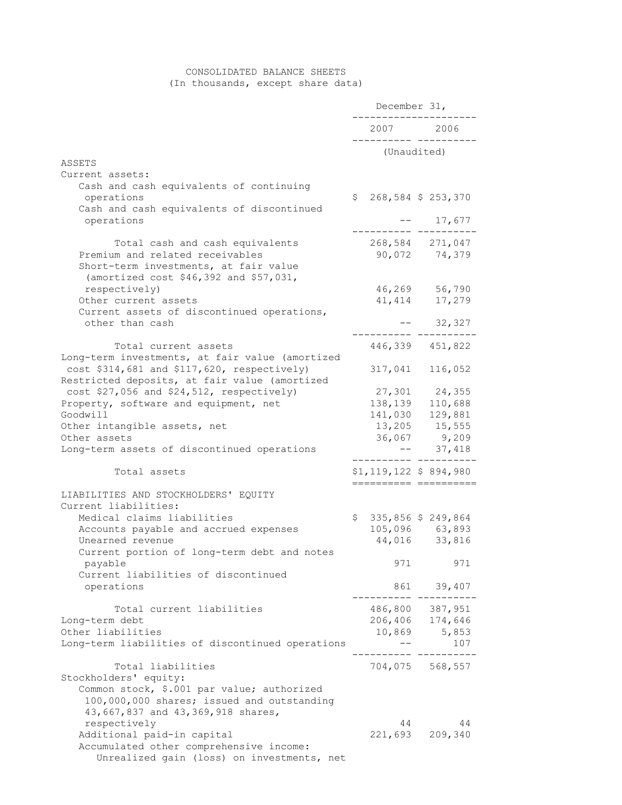# CONSOLIDATED BALANCE SHEETS

(In thousands, except share data)

|                                                                                                                                                                        | December 31, |                    |                                  |
|------------------------------------------------------------------------------------------------------------------------------------------------------------------------|--------------|--------------------|----------------------------------|
|                                                                                                                                                                        |              |                    | 2007 2006                        |
|                                                                                                                                                                        |              |                    | (Unaudited)                      |
| ASSETS                                                                                                                                                                 |              |                    |                                  |
| Current assets:<br>Cash and cash equivalents of continuing<br>operations<br>Cash and cash equivalents of discontinued                                                  | \$           |                    | 268,584 \$ 253,370               |
| operations                                                                                                                                                             |              |                    | 17,677                           |
| Total cash and cash equivalents<br>Premium and related receivables<br>Short-term investments, at fair value<br>(amortized cost \$46,392 and \$57,031,                  |              |                    | 268,584 271,047<br>90,072 74,379 |
| respectively)                                                                                                                                                          |              | 46,269             | 56,790                           |
| Other current assets                                                                                                                                                   |              | 41, 414            | 17,279                           |
| Current assets of discontinued operations,<br>other than cash                                                                                                          |              |                    | 32,327<br>$- -$                  |
| Total current assets<br>Long-term investments, at fair value (amortized                                                                                                |              |                    | 446,339 451,822                  |
| cost \$314,681 and \$117,620, respectively)<br>Restricted deposits, at fair value (amortized                                                                           |              | 317,041            | 116,052                          |
| cost \$27,056 and \$24,512, respectively)                                                                                                                              |              | 27,301             | 24,355                           |
| Property, software and equipment, net                                                                                                                                  |              | 138,139            | 110,688                          |
| Goodwill                                                                                                                                                               |              | 141,030            | 129,881                          |
| Other intangible assets, net                                                                                                                                           |              |                    | 13,205 15,555                    |
| Other assets                                                                                                                                                           |              |                    | 36,067 9,209                     |
| Long-term assets of discontinued operations                                                                                                                            |              |                    | 37,418                           |
| Total assets                                                                                                                                                           |              | ================== | $$1, 119, 122$ \$ 894,980        |
| LIABILITIES AND STOCKHOLDERS' EQUITY<br>Current liabilities:                                                                                                           |              |                    |                                  |
| Medical claims liabilities                                                                                                                                             | $\mathsf{S}$ |                    | 335,856 \$ 249,864               |
| Accounts payable and accrued expenses                                                                                                                                  |              |                    | 105,096 63,893                   |
| Unearned revenue                                                                                                                                                       |              |                    | 44,016 33,816                    |
| Current portion of long-term debt and notes<br>payable                                                                                                                 |              | 971                | 971                              |
| Current liabilities of discontinued<br>operations                                                                                                                      |              | 861                | 39,407                           |
| Total current liabilities                                                                                                                                              |              |                    | 486,800 387,951                  |
| Long-term debt                                                                                                                                                         |              |                    | 206,406 174,646                  |
| Other liabilities                                                                                                                                                      |              | 10,869             | 5,853                            |
| Long-term liabilities of discontinued operations                                                                                                                       |              |                    | 107                              |
| Total liabilities                                                                                                                                                      |              |                    | 704,075 568,557                  |
| Stockholders' equity:<br>Common stock, \$.001 par value; authorized<br>100,000,000 shares; issued and outstanding<br>43,667,837 and 43,369,918 shares,<br>respectively |              | 44                 | 44                               |
| Additional paid-in capital                                                                                                                                             |              | 221,693            | 209,340                          |
| Accumulated other comprehensive income:<br>Unrealized gain (loss) on investments, net                                                                                  |              |                    |                                  |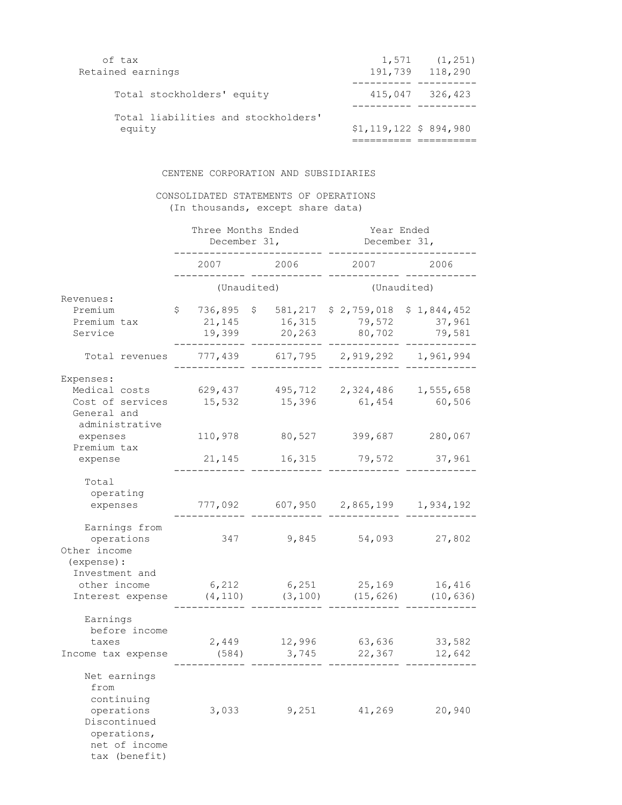| of tax<br>Retained earnings                   |                         | $1,571$ $(1,251)$<br>191,739 118,290 |
|-----------------------------------------------|-------------------------|--------------------------------------|
| Total stockholders' equity                    |                         | 415,047 326,423                      |
| Total liabilities and stockholders'<br>equity | $$1,119,122$ \$ 894,980 |                                      |

### CENTENE CORPORATION AND SUBSIDIARIES

### CONSOLIDATED STATEMENTS OF OPERATIONS (In thousands, except share data)

|                                                                                                                   |                                   | Three Months Ended<br>December 31, | Year Ended<br>December 31,      |                                 |  |  |
|-------------------------------------------------------------------------------------------------------------------|-----------------------------------|------------------------------------|---------------------------------|---------------------------------|--|--|
|                                                                                                                   | 2007                              | 2006                               | 2007                            | 2006                            |  |  |
|                                                                                                                   |                                   | (Unaudited)                        |                                 | (Unaudited)                     |  |  |
| Revenues:<br>Premium<br>Premium tax<br>Service                                                                    | \$<br>736,895<br>21,145<br>19,399 | 581,217<br>Ş.<br>16,315<br>20,263  | \$2,759,018<br>79,572<br>80,702 | \$1,844,452<br>37,961<br>79,581 |  |  |
| Total revenues                                                                                                    | 777,439                           | 617,795                            | 2,919,292                       | 1,961,994                       |  |  |
| Expenses:<br>Medical costs<br>Cost of services<br>General and<br>administrative<br>expenses                       | 629,437<br>15,532<br>110,978      | 495,712<br>15,396<br>80,527        | 2,324,486<br>61,454<br>399,687  | 1,555,658<br>60,506<br>280,067  |  |  |
| Premium tax<br>expense                                                                                            | 21,145                            | 16,315                             | 79,572                          | 37,961                          |  |  |
| Total<br>operating<br>expenses                                                                                    | 777,092                           | 607,950                            | 2,865,199                       | 1,934,192                       |  |  |
| Earnings from<br>operations<br>Other income<br>(expense) :                                                        | 347                               | 9,845                              | 54,093                          | 27,802                          |  |  |
| Investment and<br>other income<br>Interest expense                                                                | 6,212<br>(4, 110)                 | 6,251<br>(3, 100)                  | 25,169<br>(15, 626)             | 16,416<br>(10, 636)             |  |  |
| Earnings<br>before income<br>taxes<br>Income tax expense                                                          | 2,449<br>(584)                    | 12,996<br>3,745                    | 63,636<br>22,367                | 33,582<br>12,642                |  |  |
| Net earnings<br>from<br>continuing<br>operations<br>Discontinued<br>operations,<br>net of income<br>tax (benefit) | 3,033                             | 9,251                              | 41,269                          | 20,940                          |  |  |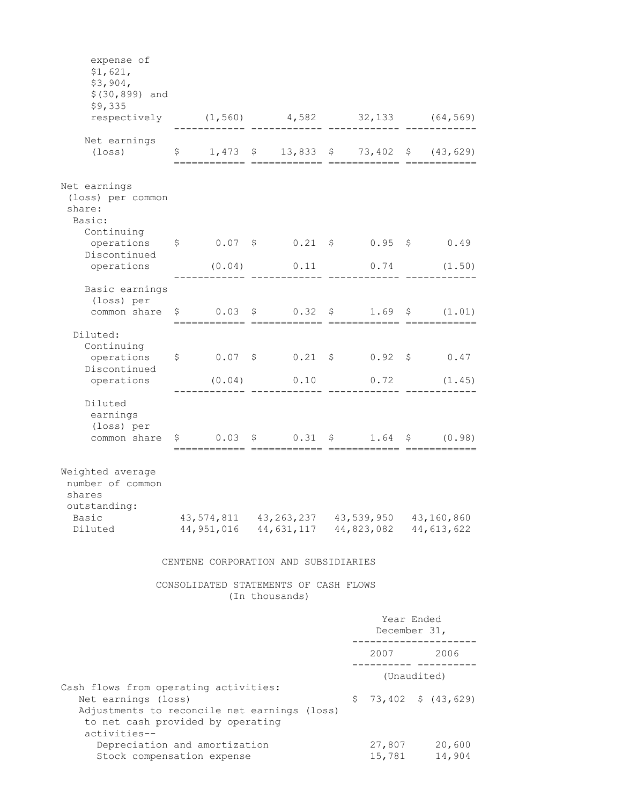| Adjustments to reconcile net earnings (loss)<br>to net cash provided by operating<br>activities--<br>Depreciation and amortization<br>Stock compensation expense |  |                        |  |                                                         | 27,807<br>15,781       | 20,600<br>14,904                                                                                           |                                                                                                                          |
|------------------------------------------------------------------------------------------------------------------------------------------------------------------|--|------------------------|--|---------------------------------------------------------|------------------------|------------------------------------------------------------------------------------------------------------|--------------------------------------------------------------------------------------------------------------------------|
| Cash flows from operating activities:<br>Net earnings (loss)                                                                                                     |  |                        |  | Ş.                                                      | $73,402 \div (43,629)$ |                                                                                                            |                                                                                                                          |
|                                                                                                                                                                  |  |                        |  |                                                         |                        |                                                                                                            | ._____ __________<br>(Unaudited)                                                                                         |
|                                                                                                                                                                  |  |                        |  |                                                         |                        |                                                                                                            | 2007 2006                                                                                                                |
|                                                                                                                                                                  |  |                        |  |                                                         |                        | December 31,                                                                                               | Year Ended                                                                                                               |
|                                                                                                                                                                  |  |                        |  | CONSOLIDATED STATEMENTS OF CASH FLOWS<br>(In thousands) |                        |                                                                                                            |                                                                                                                          |
|                                                                                                                                                                  |  |                        |  | CENTENE CORPORATION AND SUBSIDIARIES                    |                        |                                                                                                            |                                                                                                                          |
| Weighted average<br>number of common<br>shares<br>outstanding:<br>Basic<br>Diluted                                                                               |  |                        |  |                                                         |                        | 43, 574, 811 43, 263, 237 43, 539, 950 43, 160, 860<br>44, 951, 016 44, 631, 117 44, 823, 082 44, 613, 622 |                                                                                                                          |
| Diluted<br>earnings<br>(loss) per<br>common share                                                                                                                |  |                        |  |                                                         |                        |                                                                                                            | $\begin{array}{ccccccccccccc}\n\text{\$} & 0.03 & \text{\$} & 0.31 & \text{\$} & 1.64 & \text{\$} & (0.98)\n\end{array}$ |
| Discontinued<br>operations                                                                                                                                       |  | (0.04)                 |  | 0.10                                                    |                        | 0.72                                                                                                       | (1.45)                                                                                                                   |
| Diluted:<br>Continuing<br>operations                                                                                                                             |  | ========= ============ |  |                                                         |                        | $$0.07$ $$0.21$ $$0.92$ $$0.47$                                                                            |                                                                                                                          |
| Basic earnings<br>(loss) per<br>common share                                                                                                                     |  |                        |  |                                                         |                        |                                                                                                            | $\begin{array}{ccccccccccccc}\n\text{\$} & 0.03 & \text{\$} & 0.32 & \text{\$} & 1.69 & \text{\$} & (1.01)\n\end{array}$ |
| Discontinued<br>operations                                                                                                                                       |  |                        |  |                                                         |                        | $(0.04)$ 0.11 0.74                                                                                         | (1.50)                                                                                                                   |
| Net earnings<br>(loss) per common<br>share:<br>Basic:<br>Continuing<br>operations \$                                                                             |  |                        |  |                                                         |                        | $0.07$ \$ $0.21$ \$ $0.95$ \$ $0.49$                                                                       |                                                                                                                          |
| Net earnings<br>$(\texttt{loss})$                                                                                                                                |  |                        |  |                                                         |                        |                                                                                                            | $$1,473$ $$13,833$ $$73,402$ $$(43,629)$<br>==========================                                                   |
| expense of<br>\$1,621,<br>\$3,904,<br>$$ (30, 899)$ and<br>\$9,335<br>respectively (1,560) 4,582 32,133 (64,569)                                                 |  |                        |  |                                                         |                        |                                                                                                            |                                                                                                                          |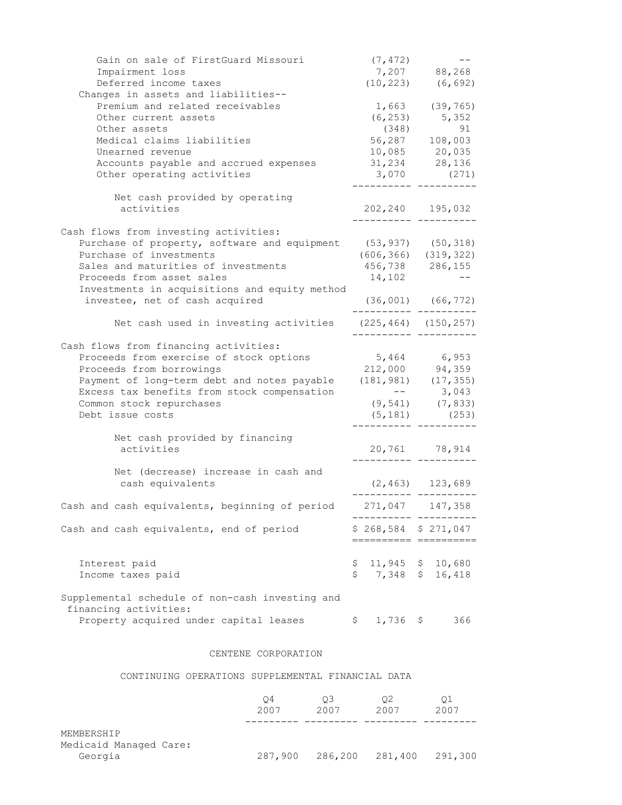| Gain on sale of FirstGuard Missouri<br>Impairment loss    | (7, 472)    | 7,207 88,268                                         |
|-----------------------------------------------------------|-------------|------------------------------------------------------|
| Deferred income taxes                                     | (10, 223)   | (6, 692)                                             |
| Changes in assets and liabilities--                       |             |                                                      |
| Premium and related receivables                           |             | $1,663$ (39,765)                                     |
| Other current assets                                      |             | $(6, 253)$ 5, 352                                    |
| Other assets                                              | (348)       | 91                                                   |
| Medical claims liabilities                                |             | 56,287 108,003                                       |
| Unearned revenue<br>Accounts payable and accrued expenses |             | $10,085$ 20,035                                      |
| Other operating activities                                | 3,070       | $31,234$ 28,136<br>(271)                             |
|                                                           |             |                                                      |
| Net cash provided by operating                            |             |                                                      |
| activities                                                |             | 202, 240 195, 032                                    |
| Cash flows from investing activities:                     |             |                                                      |
| Purchase of property, software and equipment              |             |                                                      |
| Purchase of investments                                   |             | $(53, 937)$ $(50, 318)$<br>$(606, 366)$ $(319, 322)$ |
| Sales and maturities of investments                       |             | $456,738$ 286,155                                    |
| Proceeds from asset sales                                 | 14,102      |                                                      |
| Investments in acquisitions and equity method             |             |                                                      |
| investee, net of cash acquired                            |             | $(36, 001)$ $(66, 772)$                              |
| Net cash used in investing activities                     |             | $(225, 464)$ $(150, 257)$                            |
|                                                           |             |                                                      |
| Cash flows from financing activities:                     |             |                                                      |
| Proceeds from exercise of stock options                   |             | $5,464$ 6,953                                        |
| Proceeds from borrowings                                  |             | 212,000 94,359                                       |
| Payment of long-term debt and notes payable               |             | $(181, 981)$ $(17, 355)$                             |
| Excess tax benefits from stock compensation               |             | $--$ 3,043                                           |
| Common stock repurchases                                  |             | $(9, 541)$ $(7, 833)$                                |
| Debt issue costs                                          |             | $(5, 181)$ (253)                                     |
| Net cash provided by financing                            |             |                                                      |
| activities                                                |             | 20,761 78,914                                        |
| Net (decrease) increase in cash and                       |             |                                                      |
| cash equivalents                                          |             | $(2, 463)$ 123,689                                   |
|                                                           |             |                                                      |
| Cash and cash equivalents, beginning of period            | 271,047     | 147,358                                              |
| Cash and cash equivalents, end of period                  |             | $$268,584$ $$271,047$                                |
|                                                           |             | ======= ======                                       |
|                                                           |             | 11,945 $$10,680$                                     |
| Interest paid<br>Income taxes paid                        | Ş,<br>\$    | 7,348 \$ 16,418                                      |
|                                                           |             |                                                      |
| Supplemental schedule of non-cash investing and           |             |                                                      |
| financing activities:                                     |             |                                                      |
| Property acquired under capital leases                    | $$1,736$ \$ | 366                                                  |
|                                                           |             |                                                      |

### CENTENE CORPORATION

### CONTINUING OPERATIONS SUPPLEMENTAL FINANCIAL DATA

|                                                 | O4      | OЗ   | 02                      | 01   |
|-------------------------------------------------|---------|------|-------------------------|------|
|                                                 | 2007    | 2007 | 2007                    | 2007 |
| MEMBERSHIP<br>Medicaid Managed Care:<br>Georgia | 287,900 |      | 286,200 281,400 291,300 |      |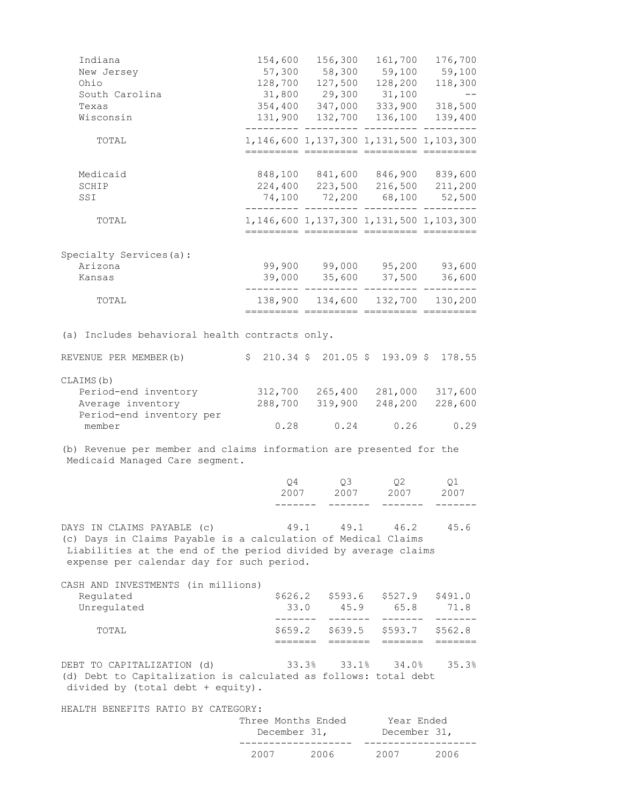| Indiana<br>New Jersey<br>Ohio<br>South Carolina                                                                                                                                                            |    | 154,600 156,300<br>57,300 58,300 59,100 59,100<br>128,700 127,500 128,200<br>31,800 29,300 31,100                                          | 161,700               | 176,700<br>118,300<br>$\sim$ $-$ |
|------------------------------------------------------------------------------------------------------------------------------------------------------------------------------------------------------------|----|--------------------------------------------------------------------------------------------------------------------------------------------|-----------------------|----------------------------------|
| Texas<br>Wisconsin                                                                                                                                                                                         |    | 354,400 347,000 333,900 318,500<br>131,900 132,700 136,100                                                                                 | --- ---------- ------ | 139,400                          |
| TOTAL                                                                                                                                                                                                      |    | 1, 146, 600 1, 137, 300 1, 131, 500 1, 103, 300<br>========= ========= ========= ====                                                      |                       |                                  |
| Medicaid<br>SCHIP<br>SSI                                                                                                                                                                                   |    | 848,100 841,600 846,900 839,600<br>224,400 223,500 216,500 211,200<br>74,100 72,200 68,100 52,500<br>--------- --------- --------- ------- |                       |                                  |
| TOTAL                                                                                                                                                                                                      |    | 1, 146, 600 1, 137, 300 1, 131, 500 1, 103, 300<br>========== ========= ========= =======                                                  |                       |                                  |
| Specialty Services(a):<br>Arizona<br>Kansas                                                                                                                                                                |    | 99,900 99,000 95,200 93,600<br>39,000 35,600 37,500 36,600                                                                                 |                       |                                  |
| TOTAL                                                                                                                                                                                                      |    | 138,900 134,600 132,700 130,200<br>========== ========= ======                                                                             |                       | inn henne                        |
| (a) Includes behavioral health contracts only.                                                                                                                                                             |    |                                                                                                                                            |                       |                                  |
| $$210.34 \t$201.05 \t$193.09 \t$178.55$<br>REVENUE PER MEMBER(b)                                                                                                                                           |    |                                                                                                                                            |                       |                                  |
| CLAIMS (b)<br>Period-end inventory<br>Average inventory<br>Period-end inventory per                                                                                                                        |    | 312,700 265,400 281,000 317,600<br>288,700 319,900 248,200                                                                                 |                       | 228,600                          |
| member                                                                                                                                                                                                     |    | $0.28$ 0.24 0.26 0.29                                                                                                                      |                       |                                  |
| (b) Revenue per member and claims information are presented for the<br>Medicaid Managed Care segment.                                                                                                      |    |                                                                                                                                            |                       |                                  |
|                                                                                                                                                                                                            | Q4 | Q3<br>2007 2007 2007                                                                                                                       | Q2                    | Q1<br>2007                       |
| DAYS IN CLAIMS PAYABLE (c)<br>(c) Days in Claims Payable is a calculation of Medical Claims<br>Liabilities at the end of the period divided by average claims<br>expense per calendar day for such period. |    | 49.1 49.1 46.2 45.6                                                                                                                        |                       |                                  |
| CASH AND INVESTMENTS (in millions)<br>Regulated<br>Unregulated                                                                                                                                             |    | $$626.2$ $$593.6$ $$527.9$ $$491.0$<br>33.0 45.9 65.8<br>--------                                                                          | -------               | 71.8<br>-------                  |
| TOTAL                                                                                                                                                                                                      |    | \$659.2 \$639.5 \$593.7 \$562.8<br>======= =======                                                                                         | =======               | $=$ $=$ $=$ $=$ $=$ $=$ $=$      |
| DEBT TO CAPITALIZATION (d)<br>(d) Debt to Capitalization is calculated as follows: total debt<br>divided by (total debt + equity).                                                                         |    | $33.3\%$ $33.1\%$ $34.0\%$ $35.3\%$                                                                                                        |                       |                                  |
| HEALTH BENEFITS RATIO BY CATEGORY:                                                                                                                                                                         |    | Three Months Ended Year Ended<br>December 31,                                                                                              | December 31,          |                                  |
|                                                                                                                                                                                                            |    | 2007 2006 2007 2006                                                                                                                        |                       |                                  |